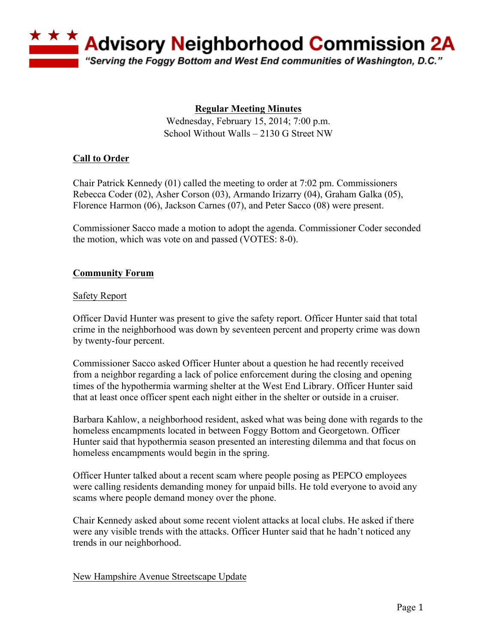

# **Regular Meeting Minutes**

Wednesday, February 15, 2014; 7:00 p.m. School Without Walls – 2130 G Street NW

## **Call to Order**

Chair Patrick Kennedy (01) called the meeting to order at 7:02 pm. Commissioners Rebecca Coder (02), Asher Corson (03), Armando Irizarry (04), Graham Galka (05), Florence Harmon (06), Jackson Carnes (07), and Peter Sacco (08) were present.

Commissioner Sacco made a motion to adopt the agenda. Commissioner Coder seconded the motion, which was vote on and passed (VOTES: 8-0).

## **Community Forum**

### Safety Report

Officer David Hunter was present to give the safety report. Officer Hunter said that total crime in the neighborhood was down by seventeen percent and property crime was down by twenty-four percent.

Commissioner Sacco asked Officer Hunter about a question he had recently received from a neighbor regarding a lack of police enforcement during the closing and opening times of the hypothermia warming shelter at the West End Library. Officer Hunter said that at least once officer spent each night either in the shelter or outside in a cruiser.

Barbara Kahlow, a neighborhood resident, asked what was being done with regards to the homeless encampments located in between Foggy Bottom and Georgetown. Officer Hunter said that hypothermia season presented an interesting dilemma and that focus on homeless encampments would begin in the spring.

Officer Hunter talked about a recent scam where people posing as PEPCO employees were calling residents demanding money for unpaid bills. He told everyone to avoid any scams where people demand money over the phone.

Chair Kennedy asked about some recent violent attacks at local clubs. He asked if there were any visible trends with the attacks. Officer Hunter said that he hadn't noticed any trends in our neighborhood.

New Hampshire Avenue Streetscape Update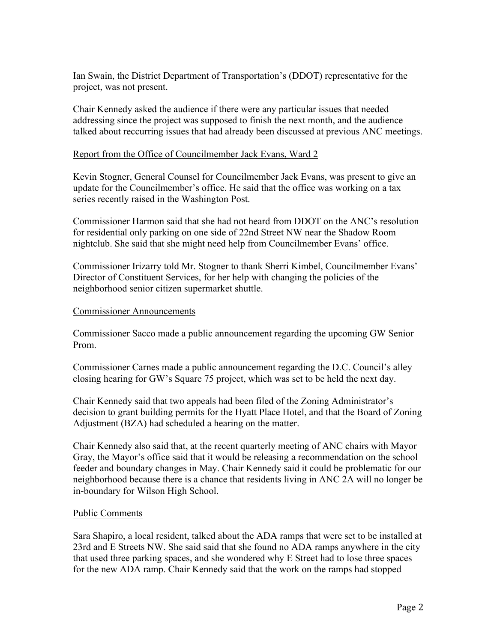Ian Swain, the District Department of Transportation's (DDOT) representative for the project, was not present.

Chair Kennedy asked the audience if there were any particular issues that needed addressing since the project was supposed to finish the next month, and the audience talked about reccurring issues that had already been discussed at previous ANC meetings.

### Report from the Office of Councilmember Jack Evans, Ward 2

Kevin Stogner, General Counsel for Councilmember Jack Evans, was present to give an update for the Councilmember's office. He said that the office was working on a tax series recently raised in the Washington Post.

Commissioner Harmon said that she had not heard from DDOT on the ANC's resolution for residential only parking on one side of 22nd Street NW near the Shadow Room nightclub. She said that she might need help from Councilmember Evans' office.

Commissioner Irizarry told Mr. Stogner to thank Sherri Kimbel, Councilmember Evans' Director of Constituent Services, for her help with changing the policies of the neighborhood senior citizen supermarket shuttle.

### Commissioner Announcements

Commissioner Sacco made a public announcement regarding the upcoming GW Senior Prom.

Commissioner Carnes made a public announcement regarding the D.C. Council's alley closing hearing for GW's Square 75 project, which was set to be held the next day.

Chair Kennedy said that two appeals had been filed of the Zoning Administrator's decision to grant building permits for the Hyatt Place Hotel, and that the Board of Zoning Adjustment (BZA) had scheduled a hearing on the matter.

Chair Kennedy also said that, at the recent quarterly meeting of ANC chairs with Mayor Gray, the Mayor's office said that it would be releasing a recommendation on the school feeder and boundary changes in May. Chair Kennedy said it could be problematic for our neighborhood because there is a chance that residents living in ANC 2A will no longer be in-boundary for Wilson High School.

### Public Comments

Sara Shapiro, a local resident, talked about the ADA ramps that were set to be installed at 23rd and E Streets NW. She said said that she found no ADA ramps anywhere in the city that used three parking spaces, and she wondered why E Street had to lose three spaces for the new ADA ramp. Chair Kennedy said that the work on the ramps had stopped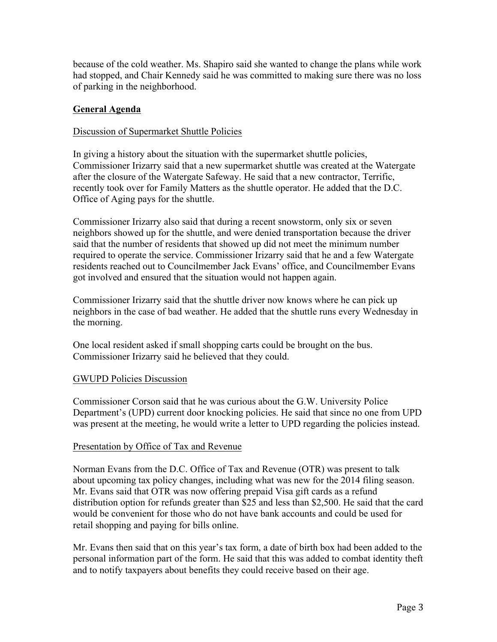because of the cold weather. Ms. Shapiro said she wanted to change the plans while work had stopped, and Chair Kennedy said he was committed to making sure there was no loss of parking in the neighborhood.

## **General Agenda**

### Discussion of Supermarket Shuttle Policies

In giving a history about the situation with the supermarket shuttle policies, Commissioner Irizarry said that a new supermarket shuttle was created at the Watergate after the closure of the Watergate Safeway. He said that a new contractor, Terrific, recently took over for Family Matters as the shuttle operator. He added that the D.C. Office of Aging pays for the shuttle.

Commissioner Irizarry also said that during a recent snowstorm, only six or seven neighbors showed up for the shuttle, and were denied transportation because the driver said that the number of residents that showed up did not meet the minimum number required to operate the service. Commissioner Irizarry said that he and a few Watergate residents reached out to Councilmember Jack Evans' office, and Councilmember Evans got involved and ensured that the situation would not happen again.

Commissioner Irizarry said that the shuttle driver now knows where he can pick up neighbors in the case of bad weather. He added that the shuttle runs every Wednesday in the morning.

One local resident asked if small shopping carts could be brought on the bus. Commissioner Irizarry said he believed that they could.

### GWUPD Policies Discussion

Commissioner Corson said that he was curious about the G.W. University Police Department's (UPD) current door knocking policies. He said that since no one from UPD was present at the meeting, he would write a letter to UPD regarding the policies instead.

### Presentation by Office of Tax and Revenue

Norman Evans from the D.C. Office of Tax and Revenue (OTR) was present to talk about upcoming tax policy changes, including what was new for the 2014 filing season. Mr. Evans said that OTR was now offering prepaid Visa gift cards as a refund distribution option for refunds greater than \$25 and less than \$2,500. He said that the card would be convenient for those who do not have bank accounts and could be used for retail shopping and paying for bills online.

Mr. Evans then said that on this year's tax form, a date of birth box had been added to the personal information part of the form. He said that this was added to combat identity theft and to notify taxpayers about benefits they could receive based on their age.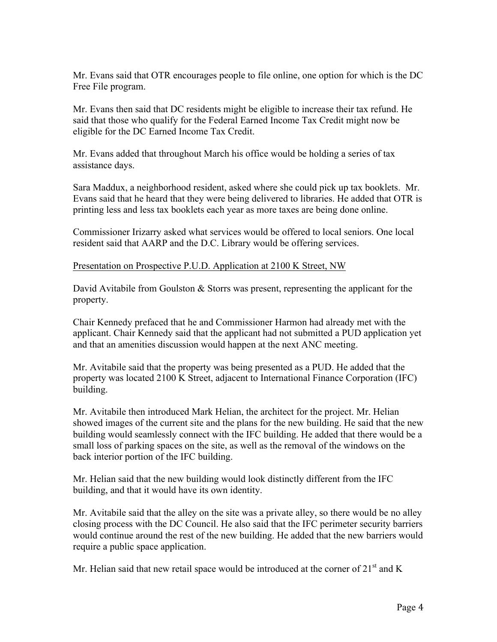Mr. Evans said that OTR encourages people to file online, one option for which is the DC Free File program.

Mr. Evans then said that DC residents might be eligible to increase their tax refund. He said that those who qualify for the Federal Earned Income Tax Credit might now be eligible for the DC Earned Income Tax Credit.

Mr. Evans added that throughout March his office would be holding a series of tax assistance days.

Sara Maddux, a neighborhood resident, asked where she could pick up tax booklets. Mr. Evans said that he heard that they were being delivered to libraries. He added that OTR is printing less and less tax booklets each year as more taxes are being done online.

Commissioner Irizarry asked what services would be offered to local seniors. One local resident said that AARP and the D.C. Library would be offering services.

Presentation on Prospective P.U.D. Application at 2100 K Street, NW

David Avitabile from Goulston & Storrs was present, representing the applicant for the property.

Chair Kennedy prefaced that he and Commissioner Harmon had already met with the applicant. Chair Kennedy said that the applicant had not submitted a PUD application yet and that an amenities discussion would happen at the next ANC meeting.

Mr. Avitabile said that the property was being presented as a PUD. He added that the property was located 2100 K Street, adjacent to International Finance Corporation (IFC) building.

Mr. Avitabile then introduced Mark Helian, the architect for the project. Mr. Helian showed images of the current site and the plans for the new building. He said that the new building would seamlessly connect with the IFC building. He added that there would be a small loss of parking spaces on the site, as well as the removal of the windows on the back interior portion of the IFC building.

Mr. Helian said that the new building would look distinctly different from the IFC building, and that it would have its own identity.

Mr. Avitabile said that the alley on the site was a private alley, so there would be no alley closing process with the DC Council. He also said that the IFC perimeter security barriers would continue around the rest of the new building. He added that the new barriers would require a public space application.

Mr. Helian said that new retail space would be introduced at the corner of  $21<sup>st</sup>$  and K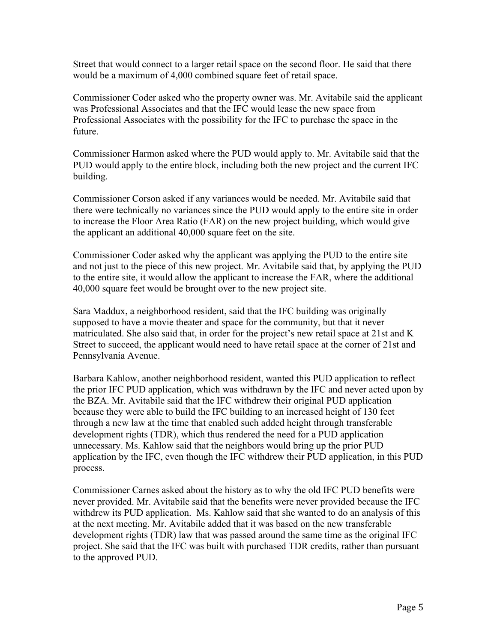Street that would connect to a larger retail space on the second floor. He said that there would be a maximum of 4,000 combined square feet of retail space.

Commissioner Coder asked who the property owner was. Mr. Avitabile said the applicant was Professional Associates and that the IFC would lease the new space from Professional Associates with the possibility for the IFC to purchase the space in the future.

Commissioner Harmon asked where the PUD would apply to. Mr. Avitabile said that the PUD would apply to the entire block, including both the new project and the current IFC building.

Commissioner Corson asked if any variances would be needed. Mr. Avitabile said that there were technically no variances since the PUD would apply to the entire site in order to increase the Floor Area Ratio (FAR) on the new project building, which would give the applicant an additional 40,000 square feet on the site.

Commissioner Coder asked why the applicant was applying the PUD to the entire site and not just to the piece of this new project. Mr. Avitabile said that, by applying the PUD to the entire site, it would allow the applicant to increase the FAR, where the additional 40,000 square feet would be brought over to the new project site.

Sara Maddux, a neighborhood resident, said that the IFC building was originally supposed to have a movie theater and space for the community, but that it never matriculated. She also said that, in order for the project's new retail space at 21st and K Street to succeed, the applicant would need to have retail space at the corner of 21st and Pennsylvania Avenue.

Barbara Kahlow, another neighborhood resident, wanted this PUD application to reflect the prior IFC PUD application, which was withdrawn by the IFC and never acted upon by the BZA. Mr. Avitabile said that the IFC withdrew their original PUD application because they were able to build the IFC building to an increased height of 130 feet through a new law at the time that enabled such added height through transferable development rights (TDR), which thus rendered the need for a PUD application unnecessary. Ms. Kahlow said that the neighbors would bring up the prior PUD application by the IFC, even though the IFC withdrew their PUD application, in this PUD process.

Commissioner Carnes asked about the history as to why the old IFC PUD benefits were never provided. Mr. Avitabile said that the benefits were never provided because the IFC withdrew its PUD application. Ms. Kahlow said that she wanted to do an analysis of this at the next meeting. Mr. Avitabile added that it was based on the new transferable development rights (TDR) law that was passed around the same time as the original IFC project. She said that the IFC was built with purchased TDR credits, rather than pursuant to the approved PUD.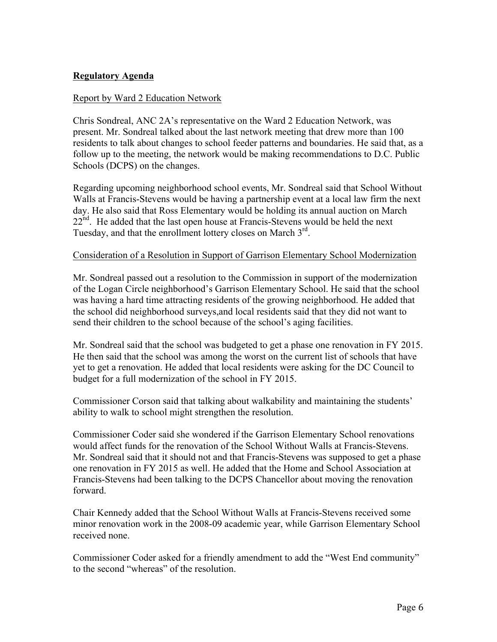## **Regulatory Agenda**

### Report by Ward 2 Education Network

Chris Sondreal, ANC 2A's representative on the Ward 2 Education Network, was present. Mr. Sondreal talked about the last network meeting that drew more than 100 residents to talk about changes to school feeder patterns and boundaries. He said that, as a follow up to the meeting, the network would be making recommendations to D.C. Public Schools (DCPS) on the changes.

Regarding upcoming neighborhood school events, Mr. Sondreal said that School Without Walls at Francis-Stevens would be having a partnership event at a local law firm the next day. He also said that Ross Elementary would be holding its annual auction on March  $22<sup>nd</sup>$ . He added that the last open house at Francis-Stevens would be held the next Tuesday, and that the enrollment lottery closes on March 3<sup>rd</sup>.

#### Consideration of a Resolution in Support of Garrison Elementary School Modernization

Mr. Sondreal passed out a resolution to the Commission in support of the modernization of the Logan Circle neighborhood's Garrison Elementary School. He said that the school was having a hard time attracting residents of the growing neighborhood. He added that the school did neighborhood surveys,and local residents said that they did not want to send their children to the school because of the school's aging facilities.

Mr. Sondreal said that the school was budgeted to get a phase one renovation in FY 2015. He then said that the school was among the worst on the current list of schools that have yet to get a renovation. He added that local residents were asking for the DC Council to budget for a full modernization of the school in FY 2015.

Commissioner Corson said that talking about walkability and maintaining the students' ability to walk to school might strengthen the resolution.

Commissioner Coder said she wondered if the Garrison Elementary School renovations would affect funds for the renovation of the School Without Walls at Francis-Stevens. Mr. Sondreal said that it should not and that Francis-Stevens was supposed to get a phase one renovation in FY 2015 as well. He added that the Home and School Association at Francis-Stevens had been talking to the DCPS Chancellor about moving the renovation forward.

Chair Kennedy added that the School Without Walls at Francis-Stevens received some minor renovation work in the 2008-09 academic year, while Garrison Elementary School received none.

Commissioner Coder asked for a friendly amendment to add the "West End community" to the second "whereas" of the resolution.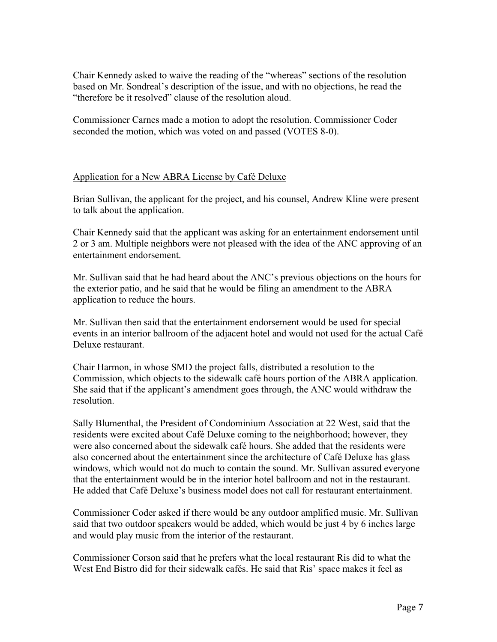Chair Kennedy asked to waive the reading of the "whereas" sections of the resolution based on Mr. Sondreal's description of the issue, and with no objections, he read the "therefore be it resolved" clause of the resolution aloud.

Commissioner Carnes made a motion to adopt the resolution. Commissioner Coder seconded the motion, which was voted on and passed (VOTES 8-0).

## Application for a New ABRA License by Café Deluxe

Brian Sullivan, the applicant for the project, and his counsel, Andrew Kline were present to talk about the application.

Chair Kennedy said that the applicant was asking for an entertainment endorsement until 2 or 3 am. Multiple neighbors were not pleased with the idea of the ANC approving of an entertainment endorsement.

Mr. Sullivan said that he had heard about the ANC's previous objections on the hours for the exterior patio, and he said that he would be filing an amendment to the ABRA application to reduce the hours.

Mr. Sullivan then said that the entertainment endorsement would be used for special events in an interior ballroom of the adjacent hotel and would not used for the actual Café Deluxe restaurant.

Chair Harmon, in whose SMD the project falls, distributed a resolution to the Commission, which objects to the sidewalk café hours portion of the ABRA application. She said that if the applicant's amendment goes through, the ANC would withdraw the resolution.

Sally Blumenthal, the President of Condominium Association at 22 West, said that the residents were excited about Café Deluxe coming to the neighborhood; however, they were also concerned about the sidewalk café hours. She added that the residents were also concerned about the entertainment since the architecture of Café Deluxe has glass windows, which would not do much to contain the sound. Mr. Sullivan assured everyone that the entertainment would be in the interior hotel ballroom and not in the restaurant. He added that Café Deluxe's business model does not call for restaurant entertainment.

Commissioner Coder asked if there would be any outdoor amplified music. Mr. Sullivan said that two outdoor speakers would be added, which would be just 4 by 6 inches large and would play music from the interior of the restaurant.

Commissioner Corson said that he prefers what the local restaurant Ris did to what the West End Bistro did for their sidewalk cafés. He said that Ris' space makes it feel as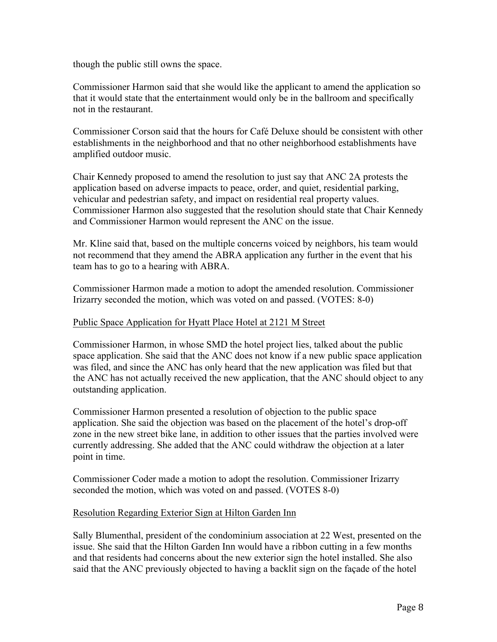though the public still owns the space.

Commissioner Harmon said that she would like the applicant to amend the application so that it would state that the entertainment would only be in the ballroom and specifically not in the restaurant.

Commissioner Corson said that the hours for Café Deluxe should be consistent with other establishments in the neighborhood and that no other neighborhood establishments have amplified outdoor music.

Chair Kennedy proposed to amend the resolution to just say that ANC 2A protests the application based on adverse impacts to peace, order, and quiet, residential parking, vehicular and pedestrian safety, and impact on residential real property values. Commissioner Harmon also suggested that the resolution should state that Chair Kennedy and Commissioner Harmon would represent the ANC on the issue.

Mr. Kline said that, based on the multiple concerns voiced by neighbors, his team would not recommend that they amend the ABRA application any further in the event that his team has to go to a hearing with ABRA.

Commissioner Harmon made a motion to adopt the amended resolution. Commissioner Irizarry seconded the motion, which was voted on and passed. (VOTES: 8-0)

### Public Space Application for Hyatt Place Hotel at 2121 M Street

Commissioner Harmon, in whose SMD the hotel project lies, talked about the public space application. She said that the ANC does not know if a new public space application was filed, and since the ANC has only heard that the new application was filed but that the ANC has not actually received the new application, that the ANC should object to any outstanding application.

Commissioner Harmon presented a resolution of objection to the public space application. She said the objection was based on the placement of the hotel's drop-off zone in the new street bike lane, in addition to other issues that the parties involved were currently addressing. She added that the ANC could withdraw the objection at a later point in time.

Commissioner Coder made a motion to adopt the resolution. Commissioner Irizarry seconded the motion, which was voted on and passed. (VOTES 8-0)

### Resolution Regarding Exterior Sign at Hilton Garden Inn

Sally Blumenthal, president of the condominium association at 22 West, presented on the issue. She said that the Hilton Garden Inn would have a ribbon cutting in a few months and that residents had concerns about the new exterior sign the hotel installed. She also said that the ANC previously objected to having a backlit sign on the façade of the hotel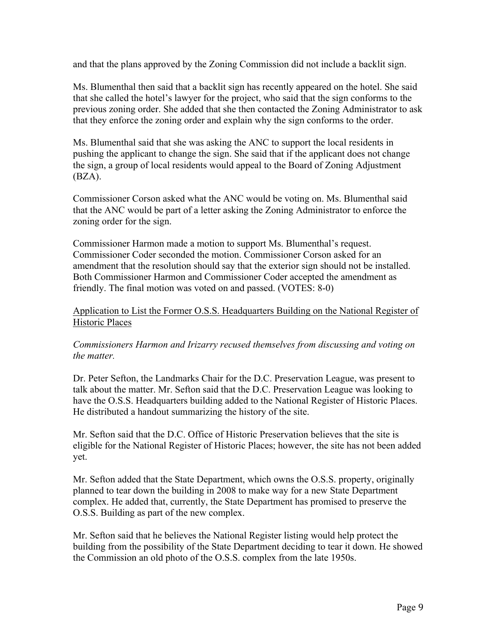and that the plans approved by the Zoning Commission did not include a backlit sign.

Ms. Blumenthal then said that a backlit sign has recently appeared on the hotel. She said that she called the hotel's lawyer for the project, who said that the sign conforms to the previous zoning order. She added that she then contacted the Zoning Administrator to ask that they enforce the zoning order and explain why the sign conforms to the order.

Ms. Blumenthal said that she was asking the ANC to support the local residents in pushing the applicant to change the sign. She said that if the applicant does not change the sign, a group of local residents would appeal to the Board of Zoning Adjustment (BZA).

Commissioner Corson asked what the ANC would be voting on. Ms. Blumenthal said that the ANC would be part of a letter asking the Zoning Administrator to enforce the zoning order for the sign.

Commissioner Harmon made a motion to support Ms. Blumenthal's request. Commissioner Coder seconded the motion. Commissioner Corson asked for an amendment that the resolution should say that the exterior sign should not be installed. Both Commissioner Harmon and Commissioner Coder accepted the amendment as friendly. The final motion was voted on and passed. (VOTES: 8-0)

## Application to List the Former O.S.S. Headquarters Building on the National Register of Historic Places

## *Commissioners Harmon and Irizarry recused themselves from discussing and voting on the matter.*

Dr. Peter Sefton, the Landmarks Chair for the D.C. Preservation League, was present to talk about the matter. Mr. Sefton said that the D.C. Preservation League was looking to have the O.S.S. Headquarters building added to the National Register of Historic Places. He distributed a handout summarizing the history of the site.

Mr. Sefton said that the D.C. Office of Historic Preservation believes that the site is eligible for the National Register of Historic Places; however, the site has not been added yet.

Mr. Sefton added that the State Department, which owns the O.S.S. property, originally planned to tear down the building in 2008 to make way for a new State Department complex. He added that, currently, the State Department has promised to preserve the O.S.S. Building as part of the new complex.

Mr. Sefton said that he believes the National Register listing would help protect the building from the possibility of the State Department deciding to tear it down. He showed the Commission an old photo of the O.S.S. complex from the late 1950s.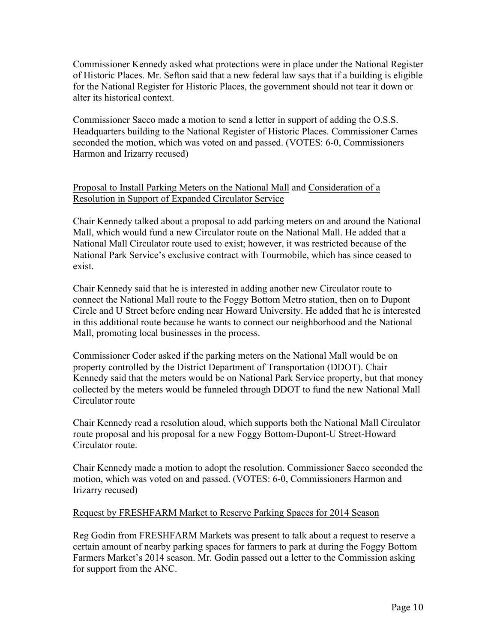Commissioner Kennedy asked what protections were in place under the National Register of Historic Places. Mr. Sefton said that a new federal law says that if a building is eligible for the National Register for Historic Places, the government should not tear it down or alter its historical context.

Commissioner Sacco made a motion to send a letter in support of adding the O.S.S. Headquarters building to the National Register of Historic Places. Commissioner Carnes seconded the motion, which was voted on and passed. (VOTES: 6-0, Commissioners Harmon and Irizarry recused)

## Proposal to Install Parking Meters on the National Mall and Consideration of a Resolution in Support of Expanded Circulator Service

Chair Kennedy talked about a proposal to add parking meters on and around the National Mall, which would fund a new Circulator route on the National Mall. He added that a National Mall Circulator route used to exist; however, it was restricted because of the National Park Service's exclusive contract with Tourmobile, which has since ceased to exist.

Chair Kennedy said that he is interested in adding another new Circulator route to connect the National Mall route to the Foggy Bottom Metro station, then on to Dupont Circle and U Street before ending near Howard University. He added that he is interested in this additional route because he wants to connect our neighborhood and the National Mall, promoting local businesses in the process.

Commissioner Coder asked if the parking meters on the National Mall would be on property controlled by the District Department of Transportation (DDOT). Chair Kennedy said that the meters would be on National Park Service property, but that money collected by the meters would be funneled through DDOT to fund the new National Mall Circulator route

Chair Kennedy read a resolution aloud, which supports both the National Mall Circulator route proposal and his proposal for a new Foggy Bottom-Dupont-U Street-Howard Circulator route.

Chair Kennedy made a motion to adopt the resolution. Commissioner Sacco seconded the motion, which was voted on and passed. (VOTES: 6-0, Commissioners Harmon and Irizarry recused)

### Request by FRESHFARM Market to Reserve Parking Spaces for 2014 Season

Reg Godin from FRESHFARM Markets was present to talk about a request to reserve a certain amount of nearby parking spaces for farmers to park at during the Foggy Bottom Farmers Market's 2014 season. Mr. Godin passed out a letter to the Commission asking for support from the ANC.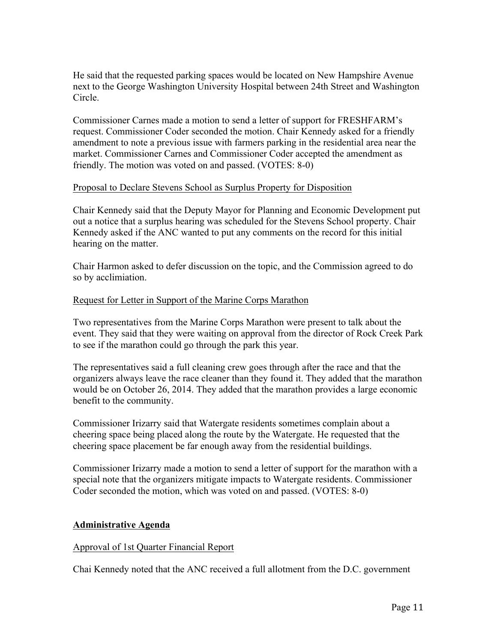He said that the requested parking spaces would be located on New Hampshire Avenue next to the George Washington University Hospital between 24th Street and Washington Circle.

Commissioner Carnes made a motion to send a letter of support for FRESHFARM's request. Commissioner Coder seconded the motion. Chair Kennedy asked for a friendly amendment to note a previous issue with farmers parking in the residential area near the market. Commissioner Carnes and Commissioner Coder accepted the amendment as friendly. The motion was voted on and passed. (VOTES: 8-0)

### Proposal to Declare Stevens School as Surplus Property for Disposition

Chair Kennedy said that the Deputy Mayor for Planning and Economic Development put out a notice that a surplus hearing was scheduled for the Stevens School property. Chair Kennedy asked if the ANC wanted to put any comments on the record for this initial hearing on the matter.

Chair Harmon asked to defer discussion on the topic, and the Commission agreed to do so by acclimiation.

### Request for Letter in Support of the Marine Corps Marathon

Two representatives from the Marine Corps Marathon were present to talk about the event. They said that they were waiting on approval from the director of Rock Creek Park to see if the marathon could go through the park this year.

The representatives said a full cleaning crew goes through after the race and that the organizers always leave the race cleaner than they found it. They added that the marathon would be on October 26, 2014. They added that the marathon provides a large economic benefit to the community.

Commissioner Irizarry said that Watergate residents sometimes complain about a cheering space being placed along the route by the Watergate. He requested that the cheering space placement be far enough away from the residential buildings.

Commissioner Irizarry made a motion to send a letter of support for the marathon with a special note that the organizers mitigate impacts to Watergate residents. Commissioner Coder seconded the motion, which was voted on and passed. (VOTES: 8-0)

### **Administrative Agenda**

#### Approval of 1st Quarter Financial Report

Chai Kennedy noted that the ANC received a full allotment from the D.C. government